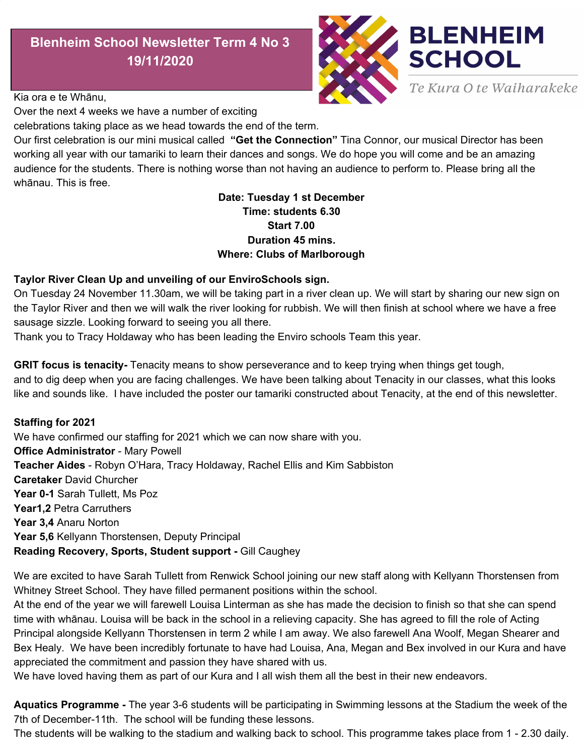# **Blenheim School Newsletter Term 4 No 3 19/11/2020**



Kia ora e te Whānu,

Over the next 4 weeks we have a number of exciting

celebrations taking place as we head towards the end of the term.

Our first celebration is our mini musical called **"Get the Connection"** Tina Connor, our musical Director has been working all year with our tamariki to learn their dances and songs. We do hope you will come and be an amazing audience for the students. There is nothing worse than not having an audience to perform to. Please bring all the whānau. This is free.

### **Date: Tuesday 1 st December Time: students 6.30 Start 7.00 Duration 45 mins. Where: Clubs of Marlborough**

#### **Taylor River Clean Up and unveiling of our EnviroSchools sign.**

On Tuesday 24 November 11.30am, we will be taking part in a river clean up. We will start by sharing our new sign on the Taylor River and then we will walk the river looking for rubbish. We will then finish at school where we have a free sausage sizzle. Looking forward to seeing you all there.

Thank you to Tracy Holdaway who has been leading the Enviro schools Team this year.

**GRIT focus is tenacity-** Tenacity means to show perseverance and to keep trying when things get tough,

and to dig deep when you are facing challenges. We have been talking about Tenacity in our classes, what this looks like and sounds like. I have included the poster our tamariki constructed about Tenacity, at the end of this newsletter.

#### **Staffing for 2021**

We have confirmed our staffing for 2021 which we can now share with you. **Office Administrator** - Mary Powell **Teacher Aides** - Robyn O'Hara, Tracy Holdaway, Rachel Ellis and Kim Sabbiston **Caretaker** David Churcher **Year 0-1** Sarah Tullett, Ms Poz **Year1,2** Petra Carruthers **Year 3,4** Anaru Norton **Year 5,6** Kellyann Thorstensen, Deputy Principal **Reading Recovery, Sports, Student support -** Gill Caughey

We are excited to have Sarah Tullett from Renwick School joining our new staff along with Kellyann Thorstensen from Whitney Street School. They have filled permanent positions within the school.

At the end of the year we will farewell Louisa Linterman as she has made the decision to finish so that she can spend time with whānau. Louisa will be back in the school in a relieving capacity. She has agreed to fill the role of Acting Principal alongside Kellyann Thorstensen in term 2 while I am away. We also farewell Ana Woolf, Megan Shearer and Bex Healy. We have been incredibly fortunate to have had Louisa, Ana, Megan and Bex involved in our Kura and have appreciated the commitment and passion they have shared with us.

We have loved having them as part of our Kura and I all wish them all the best in their new endeavors.

**Aquatics Programme -** The year 3-6 students will be participating in Swimming lessons at the Stadium the week of the 7th of December-11th. The school will be funding these lessons.

The students will be walking to the stadium and walking back to school. This programme takes place from 1 - 2.30 daily.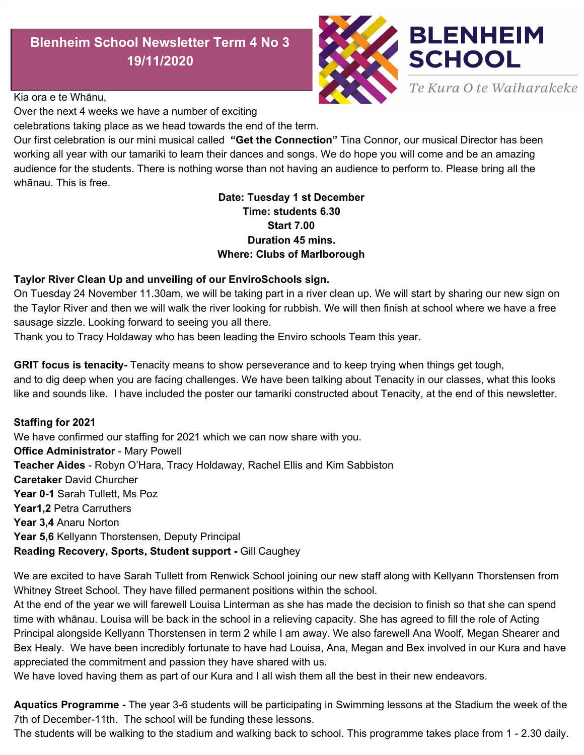**School Gates and Office door.** Recently we have had a couple of incidents where students have been let out of the school grounds at the end of the day by other students or by whanau. Please don't let students out without an adult. We have a number of students at school with additional needs, who don't have road sense. For everybody's safety please ensure gates and doors are shut behind you. If you notice a problem with any of the gates and doors please let us know immediately. The safety of our tamariki is foremost. We have spoken to the tamariki about not letting other students out of the school when they leave. It is hard as they are only being kind but aren't able to understand the danger this poses. Many thanks

**Building Projects** - Over the holiday break we will be transforming our Library into our staff room. As our staff have grown we have outgrown our little staffroom and have made the decision to turn the Library into our new staff and meeting space. We have relocated the Library to the Mahi Mara room where Robyn O'Hara will continue to open on Tuesday and Thursday lunchtimes for our tamariki. The senior students will continue to use the town Library and eventually once the new Library is operational we will all be using this.

**Vandalism** - It saddens me that over the past 8 weeks we have had a number of incidents occur in the school involving vandalism. It began with the destruction of the boat then the art display of the pencils and now the Pasifika mural has been torn off the wall. Please if you see anything or have seen people in the grounds late at night please let me know a time frame so I can let the police. Vandalism has been so few at Blenheim Kura and it makes me sad when I see this pointless vandalism that affects our tamariki.

**Library Books-** Please can we have all Library books returned to school so that we can do an audit.

**BOT** - We recently notified the Community of a vacancy on the BOT. We had one applicant for the position. Congratulations to Jack Feavers on your appointment to Blenheim School Board of Trustees.

**Laura Smith**- At the end of the year we will farewell Laura Smith who has been our current BOT Chair over the past 7 years. Laura's commitment, dedication and understanding of our Kura and community has been the driving force that has helped Blenheim School grow from a roll of 39 students when I started to 98 today. I personally would like to thank her for her continued support throughout these 7 years. Laura and her family have shifted to Motueka to live. We wish her all the best in this new adventure.

**The current BOT consist of**: Denyse Healy - Principal, Petra Carruthers - School Representative, Peter Stace - Community, Lynda Pederson - Parent representative, Richard McDonald - Parent Representative, Deanna Gleeson - Parent representative and Holly Fry - Parent representative.

**Toasted Sandwiches** - The students have been loving the toasted sandwiches that we provide onThursdays and I would like to say a big thank you to Ms Poz for organising this and her trusty helpers, Mrs Holdaway and Mrs O'Hara - Yum Yum.